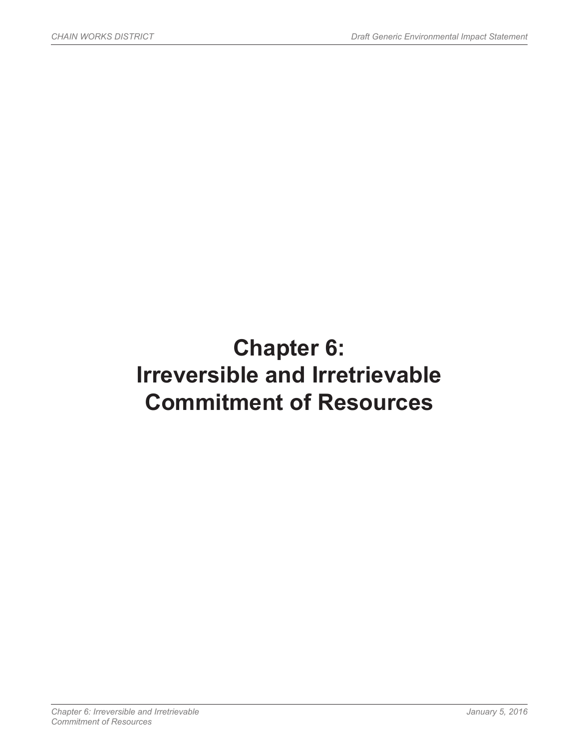# **Chapter 6: Irreversible and Irretrievable Commitment of Resources**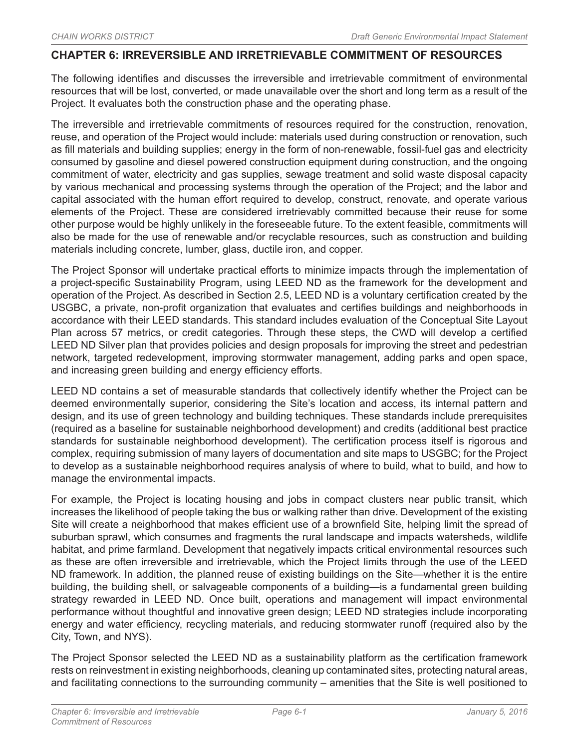### **CHAPTER 6: IRREVERSIBLE AND IRRETRIEVABLE COMMITMENT OF RESOURCES**

The following identifies and discusses the irreversible and irretrievable commitment of environmental resources that will be lost, converted, or made unavailable over the short and long term as a result of the Project. It evaluates both the construction phase and the operating phase.

The irreversible and irretrievable commitments of resources required for the construction, renovation, reuse, and operation of the Project would include: materials used during construction or renovation, such as fill materials and building supplies; energy in the form of non-renewable, fossil-fuel gas and electricity consumed by gasoline and diesel powered construction equipment during construction, and the ongoing commitment of water, electricity and gas supplies, sewage treatment and solid waste disposal capacity by various mechanical and processing systems through the operation of the Project; and the labor and capital associated with the human effort required to develop, construct, renovate, and operate various elements of the Project. These are considered irretrievably committed because their reuse for some other purpose would be highly unlikely in the foreseeable future. To the extent feasible, commitments will also be made for the use of renewable and/or recyclable resources, such as construction and building materials including concrete, lumber, glass, ductile iron, and copper.

The Project Sponsor will undertake practical efforts to minimize impacts through the implementation of a project-specific Sustainability Program, using LEED ND as the framework for the development and operation of the Project. As described in Section 2.5, LEED ND is a voluntary certification created by the USGBC, a private, non-profit organization that evaluates and certifies buildings and neighborhoods in accordance with their LEED standards. This standard includes evaluation of the Conceptual Site Layout Plan across 57 metrics, or credit categories. Through these steps, the CWD will develop a certified LEED ND Silver plan that provides policies and design proposals for improving the street and pedestrian network, targeted redevelopment, improving stormwater management, adding parks and open space, and increasing green building and energy efficiency efforts.

LEED ND contains a set of measurable standards that collectively identify whether the Project can be deemed environmentally superior, considering the Site's location and access, its internal pattern and design, and its use of green technology and building techniques. These standards include prerequisites (required as a baseline for sustainable neighborhood development) and credits (additional best practice standards for sustainable neighborhood development). The certification process itself is rigorous and complex, requiring submission of many layers of documentation and site maps to USGBC; for the Project to develop as a sustainable neighborhood requires analysis of where to build, what to build, and how to manage the environmental impacts.

For example, the Project is locating housing and jobs in compact clusters near public transit, which increases the likelihood of people taking the bus or walking rather than drive. Development of the existing Site will create a neighborhood that makes efficient use of a brownfield Site, helping limit the spread of suburban sprawl, which consumes and fragments the rural landscape and impacts watersheds, wildlife habitat, and prime farmland. Development that negatively impacts critical environmental resources such as these are often irreversible and irretrievable, which the Project limits through the use of the LEED ND framework. In addition, the planned reuse of existing buildings on the Site—whether it is the entire building, the building shell, or salvageable components of a building—is a fundamental green building strategy rewarded in LEED ND. Once built, operations and management will impact environmental performance without thoughtful and innovative green design; LEED ND strategies include incorporating energy and water efficiency, recycling materials, and reducing stormwater runoff (required also by the City, Town, and NYS).

The Project Sponsor selected the LEED ND as a sustainability platform as the certification framework rests on reinvestment in existing neighborhoods, cleaning up contaminated sites, protecting natural areas, and facilitating connections to the surrounding community – amenities that the Site is well positioned to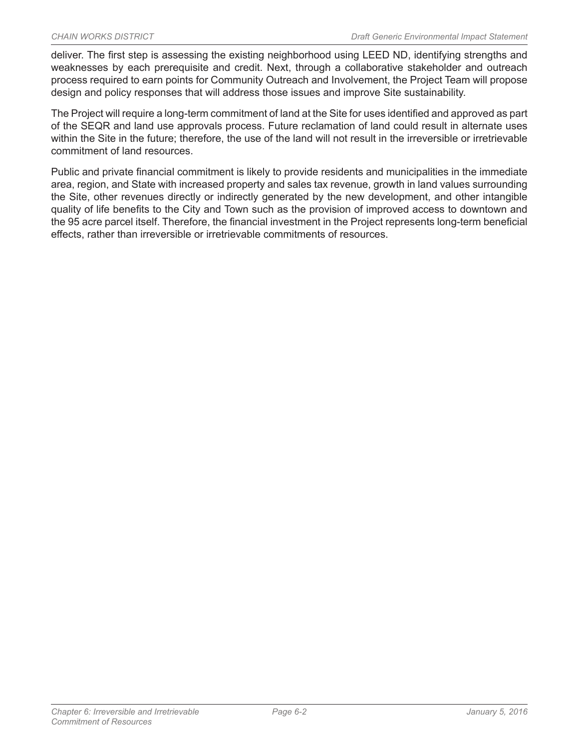deliver. The first step is assessing the existing neighborhood using LEED ND, identifying strengths and weaknesses by each prerequisite and credit. Next, through a collaborative stakeholder and outreach process required to earn points for Community Outreach and Involvement, the Project Team will propose design and policy responses that will address those issues and improve Site sustainability.

The Project will require a long-term commitment of land at the Site for uses identified and approved as part of the SEQR and land use approvals process. Future reclamation of land could result in alternate uses within the Site in the future; therefore, the use of the land will not result in the irreversible or irretrievable commitment of land resources.

Public and private financial commitment is likely to provide residents and municipalities in the immediate area, region, and State with increased property and sales tax revenue, growth in land values surrounding the Site, other revenues directly or indirectly generated by the new development, and other intangible quality of life benefits to the City and Town such as the provision of improved access to downtown and the 95 acre parcel itself. Therefore, the financial investment in the Project represents long-term beneficial effects, rather than irreversible or irretrievable commitments of resources.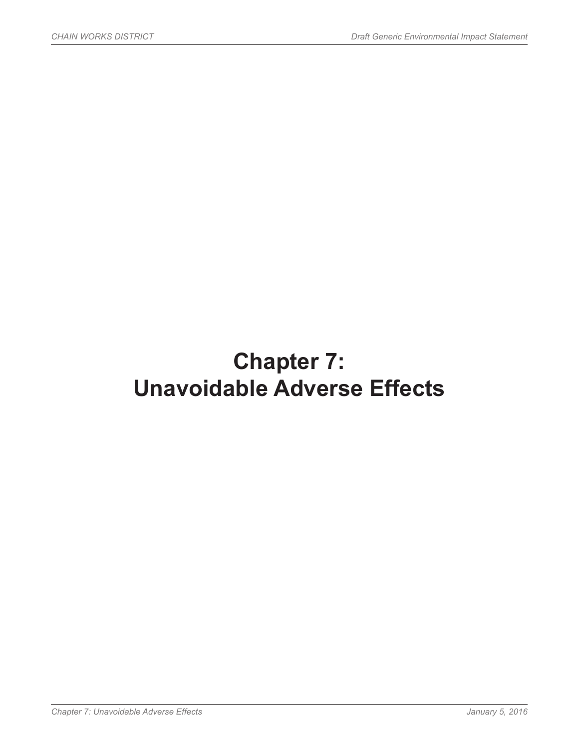# **Chapter 7: Unavoidable Adverse Effects**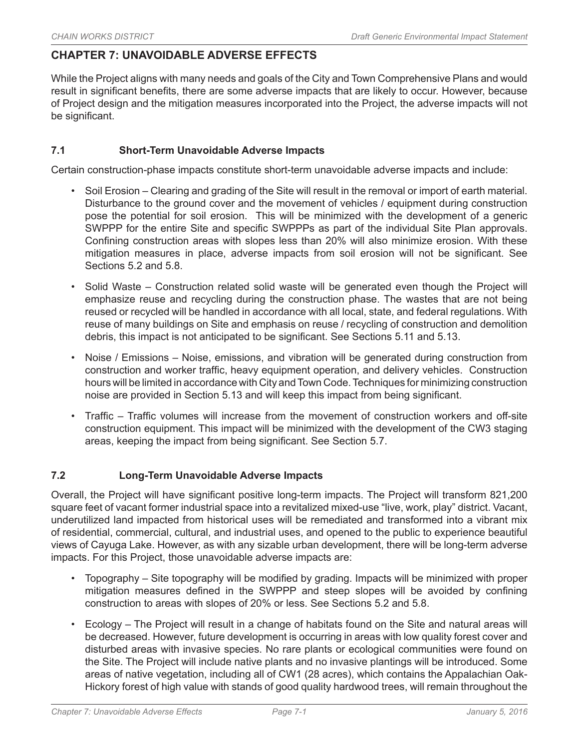## **CHAPTER 7: UNAVOIDABLE ADVERSE EFFECTS**

While the Project aligns with many needs and goals of the City and Town Comprehensive Plans and would result in significant benefits, there are some adverse impacts that are likely to occur. However, because of Project design and the mitigation measures incorporated into the Project, the adverse impacts will not be significant.

### **7.1 Short-Term Unavoidable Adverse Impacts**

Certain construction-phase impacts constitute short-term unavoidable adverse impacts and include:

- Soil Erosion Clearing and grading of the Site will result in the removal or import of earth material. Disturbance to the ground cover and the movement of vehicles / equipment during construction pose the potential for soil erosion. This will be minimized with the development of a generic SWPPP for the entire Site and specific SWPPPs as part of the individual Site Plan approvals. Confining construction areas with slopes less than 20% will also minimize erosion. With these mitigation measures in place, adverse impacts from soil erosion will not be significant. See Sections 5.2 and 5.8.
- Solid Waste Construction related solid waste will be generated even though the Project will emphasize reuse and recycling during the construction phase. The wastes that are not being reused or recycled will be handled in accordance with all local, state, and federal regulations. With reuse of many buildings on Site and emphasis on reuse / recycling of construction and demolition debris, this impact is not anticipated to be significant. See Sections 5.11 and 5.13.
- Noise / Emissions Noise, emissions, and vibration will be generated during construction from construction and worker traffic, heavy equipment operation, and delivery vehicles. Construction hours will be limited in accordance with City and Town Code. Techniques for minimizing construction noise are provided in Section 5.13 and will keep this impact from being significant.
- Traffic Traffic volumes will increase from the movement of construction workers and off-site construction equipment. This impact will be minimized with the development of the CW3 staging areas, keeping the impact from being significant. See Section 5.7.

### **7.2 Long-Term Unavoidable Adverse Impacts**

Overall, the Project will have significant positive long-term impacts. The Project will transform 821,200 square feet of vacant former industrial space into a revitalized mixed-use "live, work, play" district. Vacant, underutilized land impacted from historical uses will be remediated and transformed into a vibrant mix of residential, commercial, cultural, and industrial uses, and opened to the public to experience beautiful views of Cayuga Lake. However, as with any sizable urban development, there will be long-term adverse impacts. For this Project, those unavoidable adverse impacts are:

- Topography Site topography will be modified by grading. Impacts will be minimized with proper mitigation measures defined in the SWPPP and steep slopes will be avoided by confining construction to areas with slopes of 20% or less. See Sections 5.2 and 5.8.
- Ecology The Project will result in a change of habitats found on the Site and natural areas will be decreased. However, future development is occurring in areas with low quality forest cover and disturbed areas with invasive species. No rare plants or ecological communities were found on the Site. The Project will include native plants and no invasive plantings will be introduced. Some areas of native vegetation, including all of CW1 (28 acres), which contains the Appalachian Oak-Hickory forest of high value with stands of good quality hardwood trees, will remain throughout the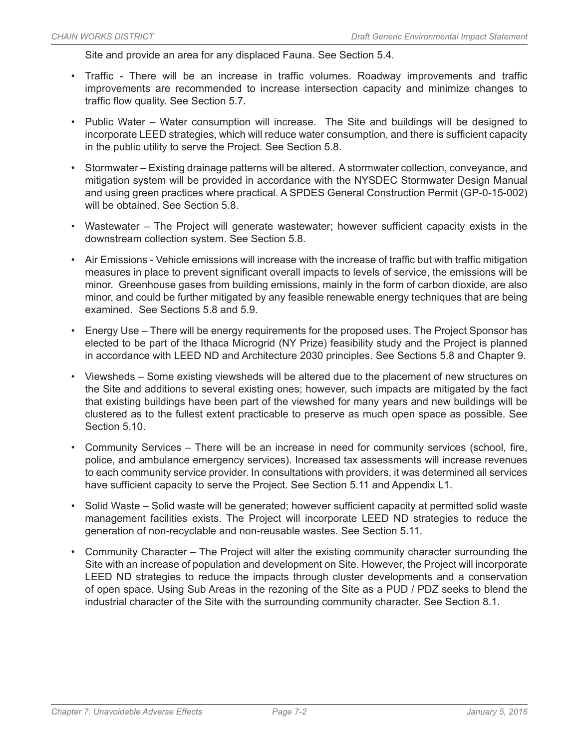Site and provide an area for any displaced Fauna. See Section 5.4.

- Traffic There will be an increase in traffic volumes. Roadway improvements and traffic improvements are recommended to increase intersection capacity and minimize changes to traffic flow quality. See Section 5.7.
- Public Water Water consumption will increase. The Site and buildings will be designed to incorporate LEED strategies, which will reduce water consumption, and there is sufficient capacity in the public utility to serve the Project. See Section 5.8.
- Stormwater Existing drainage patterns will be altered. A stormwater collection, conveyance, and mitigation system will be provided in accordance with the NYSDEC Stormwater Design Manual and using green practices where practical. A SPDES General Construction Permit (GP-0-15-002) will be obtained. See Section 5.8.
- Wastewater The Project will generate wastewater; however sufficient capacity exists in the downstream collection system. See Section 5.8.
- Air Emissions Vehicle emissions will increase with the increase of traffic but with traffic mitigation measures in place to prevent significant overall impacts to levels of service, the emissions will be minor. Greenhouse gases from building emissions, mainly in the form of carbon dioxide, are also minor, and could be further mitigated by any feasible renewable energy techniques that are being examined. See Sections 5.8 and 5.9.
- Energy Use There will be energy requirements for the proposed uses. The Project Sponsor has elected to be part of the Ithaca Microgrid (NY Prize) feasibility study and the Project is planned in accordance with LEED ND and Architecture 2030 principles. See Sections 5.8 and Chapter 9.
- Viewsheds Some existing viewsheds will be altered due to the placement of new structures on the Site and additions to several existing ones; however, such impacts are mitigated by the fact that existing buildings have been part of the viewshed for many years and new buildings will be clustered as to the fullest extent practicable to preserve as much open space as possible. See Section 5.10.
- Community Services There will be an increase in need for community services (school, fire, police, and ambulance emergency services). Increased tax assessments will increase revenues to each community service provider. In consultations with providers, it was determined all services have sufficient capacity to serve the Project. See Section 5.11 and Appendix L1.
- Solid Waste Solid waste will be generated; however sufficient capacity at permitted solid waste management facilities exists. The Project will incorporate LEED ND strategies to reduce the generation of non-recyclable and non-reusable wastes. See Section 5.11.
- Community Character The Project will alter the existing community character surrounding the Site with an increase of population and development on Site. However, the Project will incorporate LEED ND strategies to reduce the impacts through cluster developments and a conservation of open space. Using Sub Areas in the rezoning of the Site as a PUD / PDZ seeks to blend the industrial character of the Site with the surrounding community character. See Section 8.1.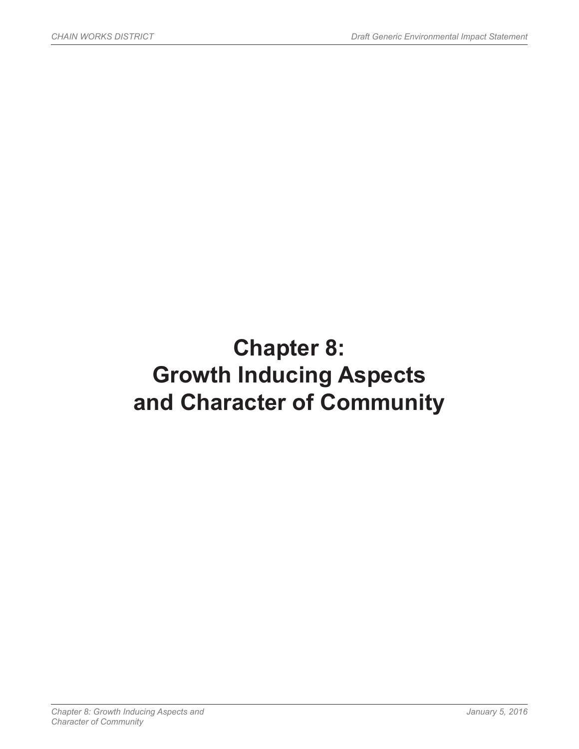# **Chapter 8: Growth Inducing Aspects and Character of Community**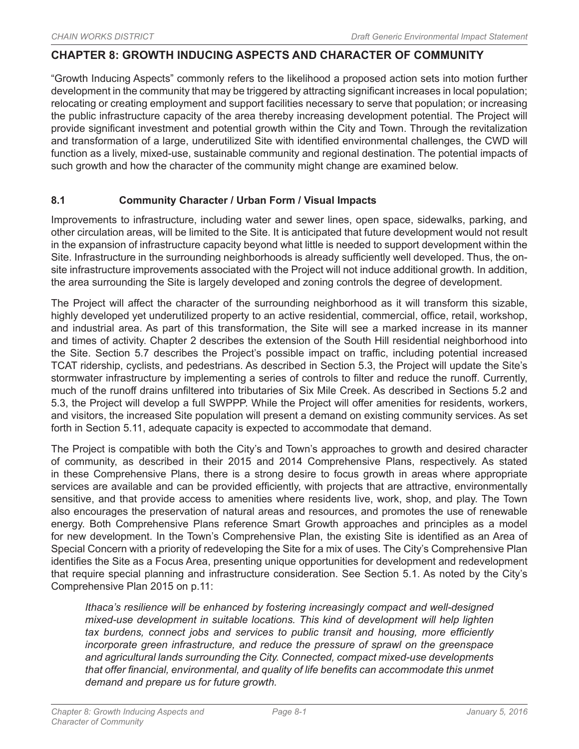### **CHAPTER 8: GROWTH INDUCING ASPECTS AND CHARACTER OF COMMUNITY**

"Growth Inducing Aspects" commonly refers to the likelihood a proposed action sets into motion further development in the community that may be triggered by attracting significant increases in local population; relocating or creating employment and support facilities necessary to serve that population; or increasing the public infrastructure capacity of the area thereby increasing development potential. The Project will provide significant investment and potential growth within the City and Town. Through the revitalization and transformation of a large, underutilized Site with identified environmental challenges, the CWD will function as a lively, mixed-use, sustainable community and regional destination. The potential impacts of such growth and how the character of the community might change are examined below.

### **8.1 Community Character / Urban Form / Visual Impacts**

Improvements to infrastructure, including water and sewer lines, open space, sidewalks, parking, and other circulation areas, will be limited to the Site. It is anticipated that future development would not result in the expansion of infrastructure capacity beyond what little is needed to support development within the Site. Infrastructure in the surrounding neighborhoods is already sufficiently well developed. Thus, the onsite infrastructure improvements associated with the Project will not induce additional growth. In addition, the area surrounding the Site is largely developed and zoning controls the degree of development.

The Project will affect the character of the surrounding neighborhood as it will transform this sizable, highly developed yet underutilized property to an active residential, commercial, office, retail, workshop, and industrial area. As part of this transformation, the Site will see a marked increase in its manner and times of activity. Chapter 2 describes the extension of the South Hill residential neighborhood into the Site. Section 5.7 describes the Project's possible impact on traffic, including potential increased TCAT ridership, cyclists, and pedestrians. As described in Section 5.3, the Project will update the Site's stormwater infrastructure by implementing a series of controls to filter and reduce the runoff. Currently, much of the runoff drains unfiltered into tributaries of Six Mile Creek. As described in Sections 5.2 and 5.3, the Project will develop a full SWPPP. While the Project will offer amenities for residents, workers, and visitors, the increased Site population will present a demand on existing community services. As set forth in Section 5.11, adequate capacity is expected to accommodate that demand.

The Project is compatible with both the City's and Town's approaches to growth and desired character of community, as described in their 2015 and 2014 Comprehensive Plans, respectively. As stated in these Comprehensive Plans, there is a strong desire to focus growth in areas where appropriate services are available and can be provided efficiently, with projects that are attractive, environmentally sensitive, and that provide access to amenities where residents live, work, shop, and play. The Town also encourages the preservation of natural areas and resources, and promotes the use of renewable energy. Both Comprehensive Plans reference Smart Growth approaches and principles as a model for new development. In the Town's Comprehensive Plan, the existing Site is identified as an Area of Special Concern with a priority of redeveloping the Site for a mix of uses. The City's Comprehensive Plan identifies the Site as a Focus Area, presenting unique opportunities for development and redevelopment that require special planning and infrastructure consideration. See Section 5.1. As noted by the City's Comprehensive Plan 2015 on p.11:

*Ithaca's resilience will be enhanced by fostering increasingly compact and well-designed mixed-use development in suitable locations. This kind of development will help lighten tax burdens, connect jobs and services to public transit and housing, more efficiently incorporate green infrastructure, and reduce the pressure of sprawl on the greenspace and agricultural lands surrounding the City. Connected, compact mixed-use developments that offer financial, environmental, and quality of life benefits can accommodate this unmet demand and prepare us for future growth.*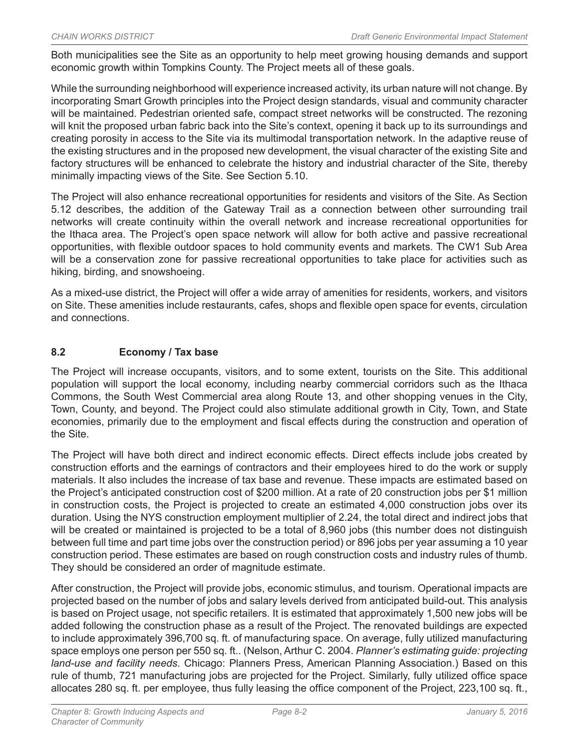Both municipalities see the Site as an opportunity to help meet growing housing demands and support economic growth within Tompkins County. The Project meets all of these goals.

While the surrounding neighborhood will experience increased activity, its urban nature will not change. By incorporating Smart Growth principles into the Project design standards, visual and community character will be maintained. Pedestrian oriented safe, compact street networks will be constructed. The rezoning will knit the proposed urban fabric back into the Site's context, opening it back up to its surroundings and creating porosity in access to the Site via its multimodal transportation network. In the adaptive reuse of the existing structures and in the proposed new development, the visual character of the existing Site and factory structures will be enhanced to celebrate the history and industrial character of the Site, thereby minimally impacting views of the Site. See Section 5.10.

The Project will also enhance recreational opportunities for residents and visitors of the Site. As Section 5.12 describes, the addition of the Gateway Trail as a connection between other surrounding trail networks will create continuity within the overall network and increase recreational opportunities for the Ithaca area. The Project's open space network will allow for both active and passive recreational opportunities, with flexible outdoor spaces to hold community events and markets. The CW1 Sub Area will be a conservation zone for passive recreational opportunities to take place for activities such as hiking, birding, and snowshoeing.

As a mixed-use district, the Project will offer a wide array of amenities for residents, workers, and visitors on Site. These amenities include restaurants, cafes, shops and flexible open space for events, circulation and connections.

### **8.2 Economy / Tax base**

The Project will increase occupants, visitors, and to some extent, tourists on the Site. This additional population will support the local economy, including nearby commercial corridors such as the Ithaca Commons, the South West Commercial area along Route 13, and other shopping venues in the City, Town, County, and beyond. The Project could also stimulate additional growth in City, Town, and State economies, primarily due to the employment and fiscal effects during the construction and operation of the Site.

The Project will have both direct and indirect economic effects. Direct effects include jobs created by construction efforts and the earnings of contractors and their employees hired to do the work or supply materials. It also includes the increase of tax base and revenue. These impacts are estimated based on the Project's anticipated construction cost of \$200 million. At a rate of 20 construction jobs per \$1 million in construction costs, the Project is projected to create an estimated 4,000 construction jobs over its duration. Using the NYS construction employment multiplier of 2.24, the total direct and indirect jobs that will be created or maintained is projected to be a total of 8,960 jobs (this number does not distinguish between full time and part time jobs over the construction period) or 896 jobs per year assuming a 10 year construction period. These estimates are based on rough construction costs and industry rules of thumb. They should be considered an order of magnitude estimate.

After construction, the Project will provide jobs, economic stimulus, and tourism. Operational impacts are projected based on the number of jobs and salary levels derived from anticipated build-out. This analysis is based on Project usage, not specific retailers. It is estimated that approximately 1,500 new jobs will be added following the construction phase as a result of the Project. The renovated buildings are expected to include approximately 396,700 sq. ft. of manufacturing space. On average, fully utilized manufacturing space employs one person per 550 sq. ft.. (Nelson, Arthur C. 2004. *Planner's estimating guide: projecting land-use and facility needs*. Chicago: Planners Press, American Planning Association.) Based on this rule of thumb, 721 manufacturing jobs are projected for the Project. Similarly, fully utilized office space allocates 280 sq. ft. per employee, thus fully leasing the office component of the Project, 223,100 sq. ft.,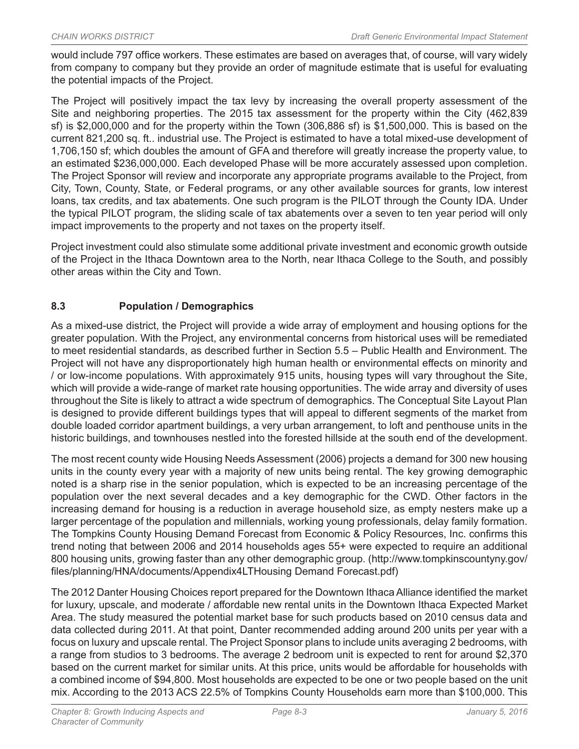would include 797 office workers. These estimates are based on averages that, of course, will vary widely from company to company but they provide an order of magnitude estimate that is useful for evaluating the potential impacts of the Project.

The Project will positively impact the tax levy by increasing the overall property assessment of the Site and neighboring properties. The 2015 tax assessment for the property within the City (462,839 sf) is \$2,000,000 and for the property within the Town (306,886 sf) is \$1,500,000. This is based on the current 821,200 sq. ft.. industrial use. The Project is estimated to have a total mixed-use development of 1,706,150 sf; which doubles the amount of GFA and therefore will greatly increase the property value, to an estimated \$236,000,000. Each developed Phase will be more accurately assessed upon completion. The Project Sponsor will review and incorporate any appropriate programs available to the Project, from City, Town, County, State, or Federal programs, or any other available sources for grants, low interest loans, tax credits, and tax abatements. One such program is the PILOT through the County IDA. Under the typical PILOT program, the sliding scale of tax abatements over a seven to ten year period will only impact improvements to the property and not taxes on the property itself.

Project investment could also stimulate some additional private investment and economic growth outside of the Project in the Ithaca Downtown area to the North, near Ithaca College to the South, and possibly other areas within the City and Town.

## **8.3 Population / Demographics**

As a mixed-use district, the Project will provide a wide array of employment and housing options for the greater population. With the Project, any environmental concerns from historical uses will be remediated to meet residential standards, as described further in Section 5.5 – Public Health and Environment. The Project will not have any disproportionately high human health or environmental effects on minority and / or low-income populations. With approximately 915 units, housing types will vary throughout the Site, which will provide a wide-range of market rate housing opportunities. The wide array and diversity of uses throughout the Site is likely to attract a wide spectrum of demographics. The Conceptual Site Layout Plan is designed to provide different buildings types that will appeal to different segments of the market from double loaded corridor apartment buildings, a very urban arrangement, to loft and penthouse units in the historic buildings, and townhouses nestled into the forested hillside at the south end of the development.

The most recent county wide Housing Needs Assessment (2006) projects a demand for 300 new housing units in the county every year with a majority of new units being rental. The key growing demographic noted is a sharp rise in the senior population, which is expected to be an increasing percentage of the population over the next several decades and a key demographic for the CWD. Other factors in the increasing demand for housing is a reduction in average household size, as empty nesters make up a larger percentage of the population and millennials, working young professionals, delay family formation. The Tompkins County Housing Demand Forecast from Economic & Policy Resources, Inc. confirms this trend noting that between 2006 and 2014 households ages 55+ were expected to require an additional 800 housing units, growing faster than any other demographic group. (http://www.tompkinscountyny.gov/ files/planning/HNA/documents/Appendix4LTHousing Demand Forecast.pdf)

The 2012 Danter Housing Choices report prepared for the Downtown Ithaca Alliance identified the market for luxury, upscale, and moderate / affordable new rental units in the Downtown Ithaca Expected Market Area. The study measured the potential market base for such products based on 2010 census data and data collected during 2011. At that point, Danter recommended adding around 200 units per year with a focus on luxury and upscale rental. The Project Sponsor plans to include units averaging 2 bedrooms, with a range from studios to 3 bedrooms. The average 2 bedroom unit is expected to rent for around \$2,370 based on the current market for similar units. At this price, units would be affordable for households with a combined income of \$94,800. Most households are expected to be one or two people based on the unit mix. According to the 2013 ACS 22.5% of Tompkins County Households earn more than \$100,000. This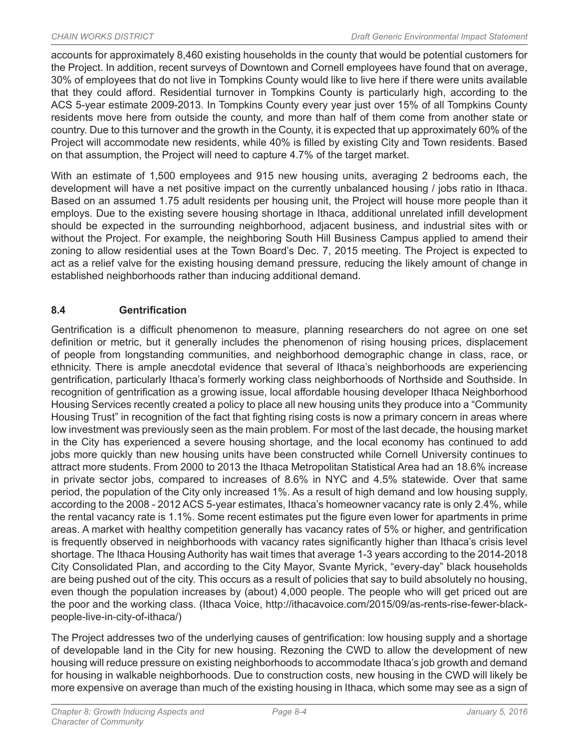accounts for approximately 8,460 existing households in the county that would be potential customers for the Project. In addition, recent surveys of Downtown and Cornell employees have found that on average, 30% of employees that do not live in Tompkins County would like to live here if there were units available that they could afford. Residential turnover in Tompkins County is particularly high, according to the ACS 5-year estimate 2009-2013. In Tompkins County every year just over 15% of all Tompkins County residents move here from outside the county, and more than half of them come from another state or country. Due to this turnover and the growth in the County, it is expected that up approximately 60% of the Project will accommodate new residents, while 40% is filled by existing City and Town residents. Based on that assumption, the Project will need to capture 4.7% of the target market.

With an estimate of 1,500 employees and 915 new housing units, averaging 2 bedrooms each, the development will have a net positive impact on the currently unbalanced housing / jobs ratio in Ithaca. Based on an assumed 1.75 adult residents per housing unit, the Project will house more people than it employs. Due to the existing severe housing shortage in Ithaca, additional unrelated infill development should be expected in the surrounding neighborhood, adjacent business, and industrial sites with or without the Project. For example, the neighboring South Hill Business Campus applied to amend their zoning to allow residential uses at the Town Board's Dec. 7, 2015 meeting. The Project is expected to act as a relief valve for the existing housing demand pressure, reducing the likely amount of change in established neighborhoods rather than inducing additional demand.

## **8.4 Gentrification**

Gentrification is a difficult phenomenon to measure, planning researchers do not agree on one set definition or metric, but it generally includes the phenomenon of rising housing prices, displacement of people from longstanding communities, and neighborhood demographic change in class, race, or ethnicity. There is ample anecdotal evidence that several of Ithaca's neighborhoods are experiencing gentrification, particularly Ithaca's formerly working class neighborhoods of Northside and Southside. In recognition of gentrification as a growing issue, local affordable housing developer Ithaca Neighborhood Housing Services recently created a policy to place all new housing units they produce into a "Community Housing Trust" in recognition of the fact that fighting rising costs is now a primary concern in areas where low investment was previously seen as the main problem. For most of the last decade, the housing market in the City has experienced a severe housing shortage, and the local economy has continued to add jobs more quickly than new housing units have been constructed while Cornell University continues to attract more students. From 2000 to 2013 the Ithaca Metropolitan Statistical Area had an 18.6% increase in private sector jobs, compared to increases of 8.6% in NYC and 4.5% statewide. Over that same period, the population of the City only increased 1%. As a result of high demand and low housing supply, according to the 2008 - 2012 ACS 5-year estimates, Ithaca's homeowner vacancy rate is only 2.4%, while the rental vacancy rate is 1.1%. Some recent estimates put the figure even lower for apartments in prime areas. A market with healthy competition generally has vacancy rates of 5% or higher, and gentrification is frequently observed in neighborhoods with vacancy rates significantly higher than Ithaca's crisis level shortage. The Ithaca Housing Authority has wait times that average 1-3 years according to the 2014-2018 City Consolidated Plan, and according to the City Mayor, Svante Myrick, "every-day" black households are being pushed out of the city. This occurs as a result of policies that say to build absolutely no housing, even though the population increases by (about) 4,000 people. The people who will get priced out are the poor and the working class. (Ithaca Voice, http://ithacavoice.com/2015/09/as-rents-rise-fewer-blackpeople-live-in-city-of-ithaca/)

The Project addresses two of the underlying causes of gentrification: low housing supply and a shortage of developable land in the City for new housing. Rezoning the CWD to allow the development of new housing will reduce pressure on existing neighborhoods to accommodate Ithaca's job growth and demand for housing in walkable neighborhoods. Due to construction costs, new housing in the CWD will likely be more expensive on average than much of the existing housing in Ithaca, which some may see as a sign of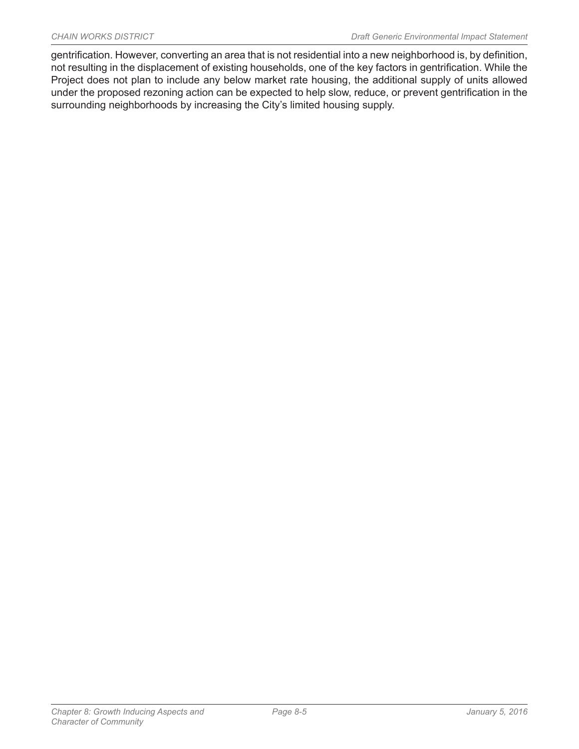gentrification. However, converting an area that is not residential into a new neighborhood is, by definition, not resulting in the displacement of existing households, one of the key factors in gentrification. While the Project does not plan to include any below market rate housing, the additional supply of units allowed under the proposed rezoning action can be expected to help slow, reduce, or prevent gentrification in the surrounding neighborhoods by increasing the City's limited housing supply.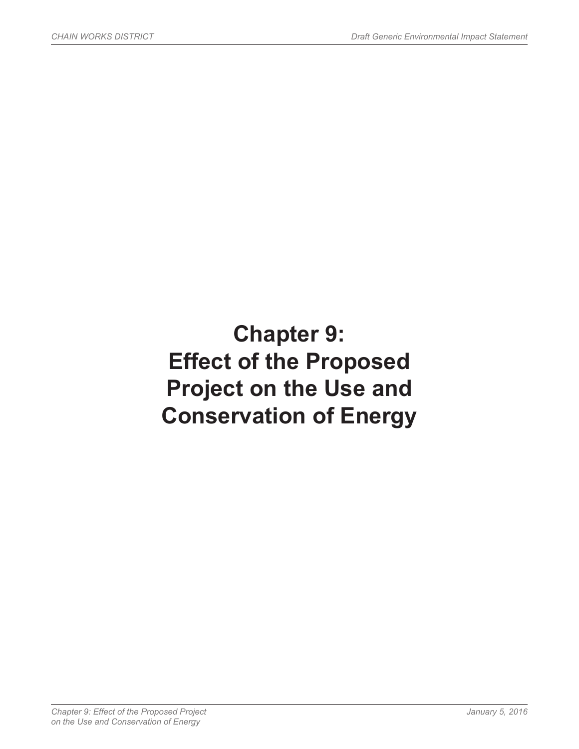# **Chapter 9: Effect of the Proposed Project on the Use and Conservation of Energy**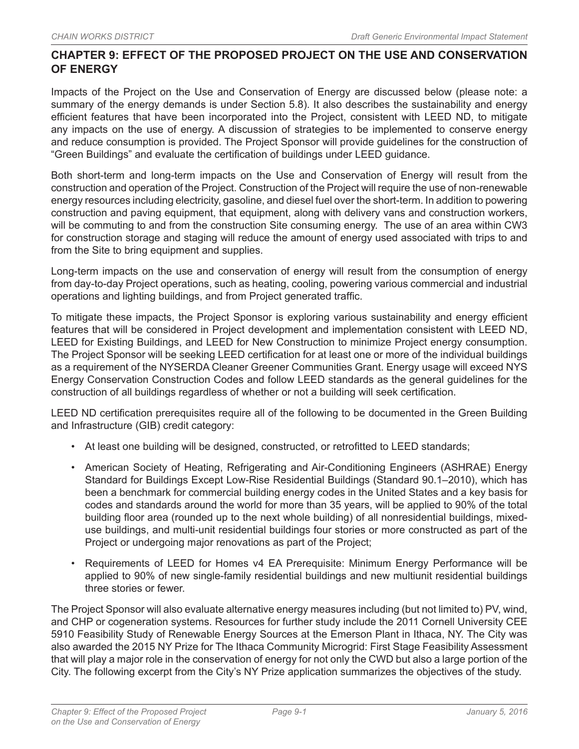## **CHAPTER 9: EFFECT OF THE PROPOSED PROJECT ON THE USE AND CONSERVATION OF ENERGY**

Impacts of the Project on the Use and Conservation of Energy are discussed below (please note: a summary of the energy demands is under Section 5.8). It also describes the sustainability and energy efficient features that have been incorporated into the Project, consistent with LEED ND, to mitigate any impacts on the use of energy. A discussion of strategies to be implemented to conserve energy and reduce consumption is provided. The Project Sponsor will provide guidelines for the construction of "Green Buildings" and evaluate the certification of buildings under LEED guidance.

Both short-term and long-term impacts on the Use and Conservation of Energy will result from the construction and operation of the Project. Construction of the Project will require the use of non-renewable energy resources including electricity, gasoline, and diesel fuel over the short-term. In addition to powering construction and paving equipment, that equipment, along with delivery vans and construction workers, will be commuting to and from the construction Site consuming energy. The use of an area within CW3 for construction storage and staging will reduce the amount of energy used associated with trips to and from the Site to bring equipment and supplies.

Long-term impacts on the use and conservation of energy will result from the consumption of energy from day-to-day Project operations, such as heating, cooling, powering various commercial and industrial operations and lighting buildings, and from Project generated traffic.

To mitigate these impacts, the Project Sponsor is exploring various sustainability and energy efficient features that will be considered in Project development and implementation consistent with LEED ND, LEED for Existing Buildings, and LEED for New Construction to minimize Project energy consumption. The Project Sponsor will be seeking LEED certification for at least one or more of the individual buildings as a requirement of the NYSERDA Cleaner Greener Communities Grant. Energy usage will exceed NYS Energy Conservation Construction Codes and follow LEED standards as the general guidelines for the construction of all buildings regardless of whether or not a building will seek certification.

LEED ND certification prerequisites require all of the following to be documented in the Green Building and Infrastructure (GIB) credit category:

- At least one building will be designed, constructed, or retrofitted to LEED standards;
- American Society of Heating, Refrigerating and Air-Conditioning Engineers (ASHRAE) Energy Standard for Buildings Except Low-Rise Residential Buildings (Standard 90.1–2010), which has been a benchmark for commercial building energy codes in the United States and a key basis for codes and standards around the world for more than 35 years, will be applied to 90% of the total building floor area (rounded up to the next whole building) of all nonresidential buildings, mixeduse buildings, and multi-unit residential buildings four stories or more constructed as part of the Project or undergoing major renovations as part of the Project;
- Requirements of LEED for Homes v4 EA Prerequisite: Minimum Energy Performance will be applied to 90% of new single-family residential buildings and new multiunit residential buildings three stories or fewer.

The Project Sponsor will also evaluate alternative energy measures including (but not limited to) PV, wind, and CHP or cogeneration systems. Resources for further study include the 2011 Cornell University CEE 5910 Feasibility Study of Renewable Energy Sources at the Emerson Plant in Ithaca, NY. The City was also awarded the 2015 NY Prize for The Ithaca Community Microgrid: First Stage Feasibility Assessment that will play a major role in the conservation of energy for not only the CWD but also a large portion of the City. The following excerpt from the City's NY Prize application summarizes the objectives of the study.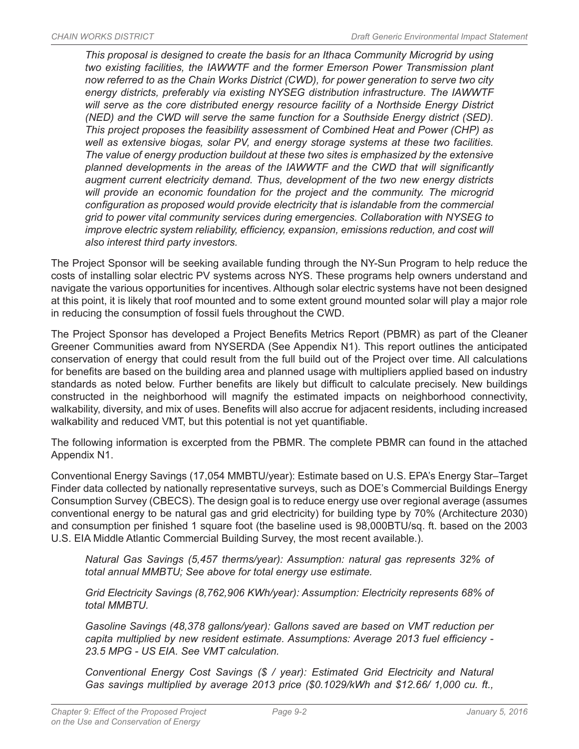*This proposal is designed to create the basis for an Ithaca Community Microgrid by using two existing facilities, the IAWWTF and the former Emerson Power Transmission plant now referred to as the Chain Works District (CWD), for power generation to serve two city energy districts, preferably via existing NYSEG distribution infrastructure. The IAWWTF will serve as the core distributed energy resource facility of a Northside Energy District (NED) and the CWD will serve the same function for a Southside Energy district (SED). This project proposes the feasibility assessment of Combined Heat and Power (CHP) as well as extensive biogas, solar PV, and energy storage systems at these two facilities. The value of energy production buildout at these two sites is emphasized by the extensive planned developments in the areas of the IAWWTF and the CWD that will significantly augment current electricity demand. Thus, development of the two new energy districts*  will provide an economic foundation for the project and the community. The microgrid *configuration as proposed would provide electricity that is islandable from the commercial grid to power vital community services during emergencies. Collaboration with NYSEG to improve electric system reliability, efficiency, expansion, emissions reduction, and cost will also interest third party investors.*

The Project Sponsor will be seeking available funding through the NY-Sun Program to help reduce the costs of installing solar electric PV systems across NYS. These programs help owners understand and navigate the various opportunities for incentives. Although solar electric systems have not been designed at this point, it is likely that roof mounted and to some extent ground mounted solar will play a major role in reducing the consumption of fossil fuels throughout the CWD.

The Project Sponsor has developed a Project Benefits Metrics Report (PBMR) as part of the Cleaner Greener Communities award from NYSERDA (See Appendix N1). This report outlines the anticipated conservation of energy that could result from the full build out of the Project over time. All calculations for benefits are based on the building area and planned usage with multipliers applied based on industry standards as noted below. Further benefits are likely but difficult to calculate precisely. New buildings constructed in the neighborhood will magnify the estimated impacts on neighborhood connectivity, walkability, diversity, and mix of uses. Benefits will also accrue for adjacent residents, including increased walkability and reduced VMT, but this potential is not yet quantifiable.

The following information is excerpted from the PBMR. The complete PBMR can found in the attached Appendix N1.

Conventional Energy Savings (17,054 MMBTU/year): Estimate based on U.S. EPA's Energy Star–Target Finder data collected by nationally representative surveys, such as DOE's Commercial Buildings Energy Consumption Survey (CBECS). The design goal is to reduce energy use over regional average (assumes conventional energy to be natural gas and grid electricity) for building type by 70% (Architecture 2030) and consumption per finished 1 square foot (the baseline used is 98,000BTU/sq. ft. based on the 2003 U.S. EIA Middle Atlantic Commercial Building Survey, the most recent available.).

*Natural Gas Savings (5,457 therms/year): Assumption: natural gas represents 32% of total annual MMBTU; See above for total energy use estimate.*

*Grid Electricity Savings (8,762,906 KWh/year): Assumption: Electricity represents 68% of total MMBTU.*

*Gasoline Savings (48,378 gallons/year): Gallons saved are based on VMT reduction per capita multiplied by new resident estimate. Assumptions: Average 2013 fuel efficiency - 23.5 MPG - US EIA. See VMT calculation.*

*Conventional Energy Cost Savings (\$ / year): Estimated Grid Electricity and Natural Gas savings multiplied by average 2013 price (\$0.1029/kWh and \$12.66/ 1,000 cu. ft.,*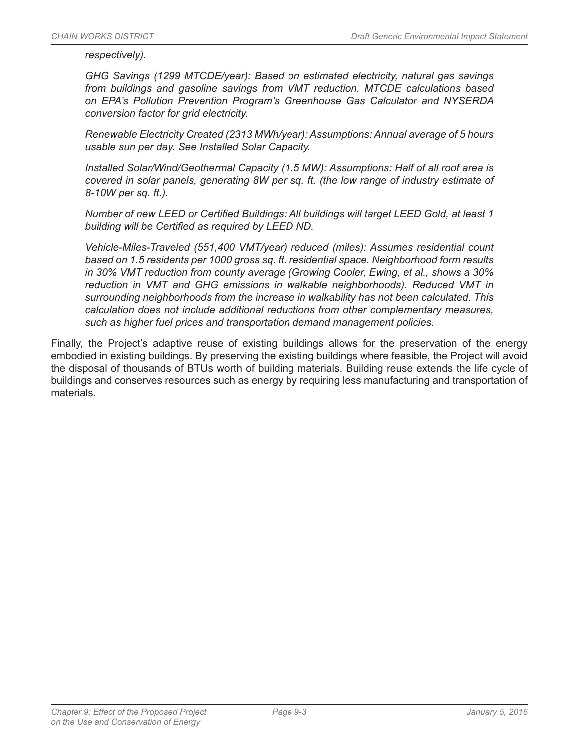*respectively).*

*GHG Savings (1299 MTCDE/year): Based on estimated electricity, natural gas savings from buildings and gasoline savings from VMT reduction. MTCDE calculations based on EPA's Pollution Prevention Program's Greenhouse Gas Calculator and NYSERDA conversion factor for grid electricity.*

*Renewable Electricity Created (2313 MWh/year): Assumptions: Annual average of 5 hours usable sun per day. See Installed Solar Capacity.*

*Installed Solar/Wind/Geothermal Capacity (1.5 MW): Assumptions: Half of all roof area is covered in solar panels, generating 8W per sq. ft. (the low range of industry estimate of 8-10W per sq. ft.).*

*Number of new LEED or Certified Buildings: All buildings will target LEED Gold, at least 1 building will be Certified as required by LEED ND.*

*Vehicle-Miles-Traveled (551,400 VMT/year) reduced (miles): Assumes residential count based on 1.5 residents per 1000 gross sq. ft. residential space. Neighborhood form results in 30% VMT reduction from county average (Growing Cooler, Ewing, et al., shows a 30% reduction in VMT and GHG emissions in walkable neighborhoods). Reduced VMT in surrounding neighborhoods from the increase in walkability has not been calculated. This calculation does not include additional reductions from other complementary measures, such as higher fuel prices and transportation demand management policies.*

Finally, the Project's adaptive reuse of existing buildings allows for the preservation of the energy embodied in existing buildings. By preserving the existing buildings where feasible, the Project will avoid the disposal of thousands of BTUs worth of building materials. Building reuse extends the life cycle of buildings and conserves resources such as energy by requiring less manufacturing and transportation of materials.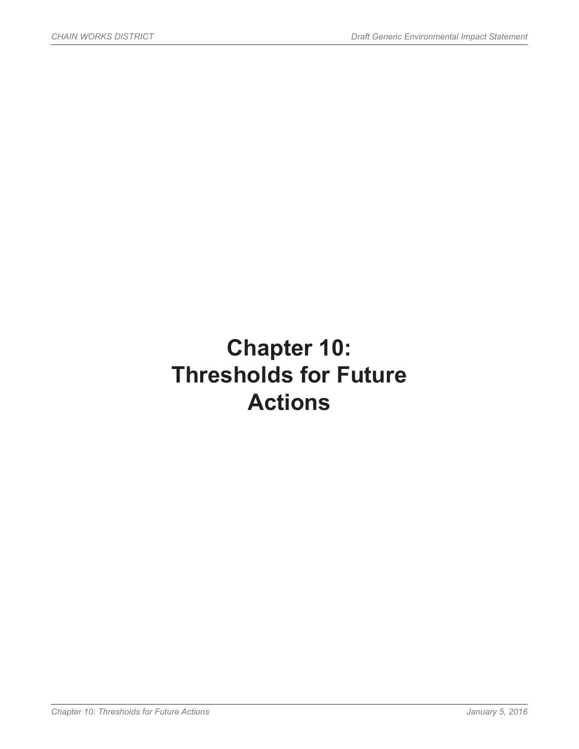## **Chapter 10: Thresholds for Future Actions**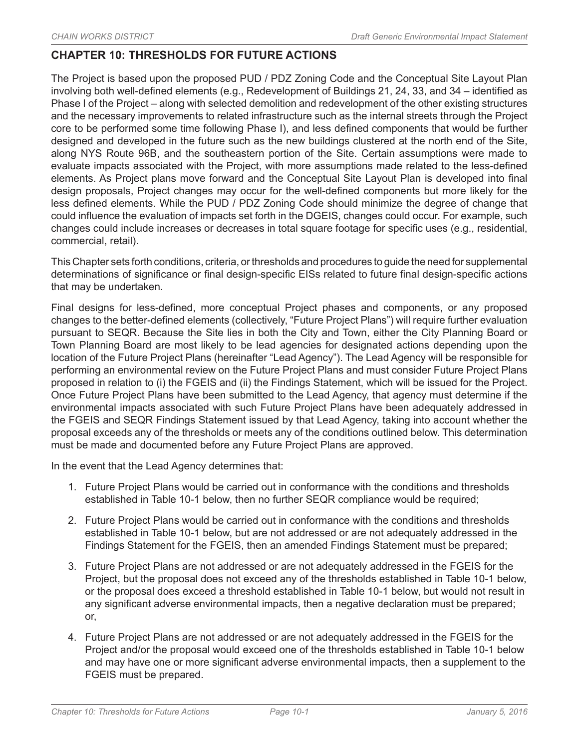## **CHAPTER 10: THRESHOLDS FOR FUTURE ACTIONS**

The Project is based upon the proposed PUD / PDZ Zoning Code and the Conceptual Site Layout Plan involving both well-defined elements (e.g., Redevelopment of Buildings 21, 24, 33, and 34 – identified as Phase I of the Project – along with selected demolition and redevelopment of the other existing structures and the necessary improvements to related infrastructure such as the internal streets through the Project core to be performed some time following Phase I), and less defined components that would be further designed and developed in the future such as the new buildings clustered at the north end of the Site, along NYS Route 96B, and the southeastern portion of the Site. Certain assumptions were made to evaluate impacts associated with the Project, with more assumptions made related to the less-defined elements. As Project plans move forward and the Conceptual Site Layout Plan is developed into final design proposals, Project changes may occur for the well-defined components but more likely for the less defined elements. While the PUD / PDZ Zoning Code should minimize the degree of change that could influence the evaluation of impacts set forth in the DGEIS, changes could occur. For example, such changes could include increases or decreases in total square footage for specific uses (e.g., residential, commercial, retail).

This Chapter sets forth conditions, criteria, or thresholds and procedures to guide the need for supplemental determinations of significance or final design-specific EISs related to future final design-specific actions that may be undertaken.

Final designs for less-defined, more conceptual Project phases and components, or any proposed changes to the better-defined elements (collectively, "Future Project Plans") will require further evaluation pursuant to SEQR. Because the Site lies in both the City and Town, either the City Planning Board or Town Planning Board are most likely to be lead agencies for designated actions depending upon the location of the Future Project Plans (hereinafter "Lead Agency"). The Lead Agency will be responsible for performing an environmental review on the Future Project Plans and must consider Future Project Plans proposed in relation to (i) the FGEIS and (ii) the Findings Statement, which will be issued for the Project. Once Future Project Plans have been submitted to the Lead Agency, that agency must determine if the environmental impacts associated with such Future Project Plans have been adequately addressed in the FGEIS and SEQR Findings Statement issued by that Lead Agency, taking into account whether the proposal exceeds any of the thresholds or meets any of the conditions outlined below. This determination must be made and documented before any Future Project Plans are approved.

In the event that the Lead Agency determines that:

- 1. Future Project Plans would be carried out in conformance with the conditions and thresholds established in Table 10-1 below, then no further SEQR compliance would be required;
- 2. Future Project Plans would be carried out in conformance with the conditions and thresholds established in Table 10-1 below, but are not addressed or are not adequately addressed in the Findings Statement for the FGEIS, then an amended Findings Statement must be prepared;
- 3. Future Project Plans are not addressed or are not adequately addressed in the FGEIS for the Project, but the proposal does not exceed any of the thresholds established in Table 10-1 below, or the proposal does exceed a threshold established in Table 10-1 below, but would not result in any significant adverse environmental impacts, then a negative declaration must be prepared; or,
- 4. Future Project Plans are not addressed or are not adequately addressed in the FGEIS for the Project and/or the proposal would exceed one of the thresholds established in Table 10-1 below and may have one or more significant adverse environmental impacts, then a supplement to the FGEIS must be prepared.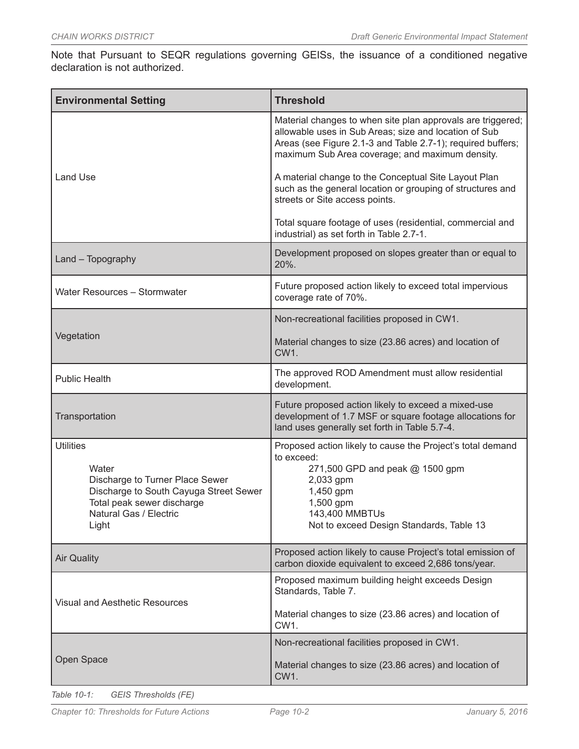Note that Pursuant to SEQR regulations governing GEISs, the issuance of a conditioned negative declaration is not authorized.

| <b>Environmental Setting</b>                                                                                                                                            | <b>Threshold</b>                                                                                                                                                                                                                       |
|-------------------------------------------------------------------------------------------------------------------------------------------------------------------------|----------------------------------------------------------------------------------------------------------------------------------------------------------------------------------------------------------------------------------------|
| <b>Land Use</b>                                                                                                                                                         | Material changes to when site plan approvals are triggered;<br>allowable uses in Sub Areas; size and location of Sub<br>Areas (see Figure 2.1-3 and Table 2.7-1); required buffers;<br>maximum Sub Area coverage; and maximum density. |
|                                                                                                                                                                         | A material change to the Conceptual Site Layout Plan<br>such as the general location or grouping of structures and<br>streets or Site access points.                                                                                   |
|                                                                                                                                                                         | Total square footage of uses (residential, commercial and<br>industrial) as set forth in Table 2.7-1.                                                                                                                                  |
| Land - Topography                                                                                                                                                       | Development proposed on slopes greater than or equal to<br>20%.                                                                                                                                                                        |
| Water Resources - Stormwater                                                                                                                                            | Future proposed action likely to exceed total impervious<br>coverage rate of 70%.                                                                                                                                                      |
| Vegetation                                                                                                                                                              | Non-recreational facilities proposed in CW1.                                                                                                                                                                                           |
|                                                                                                                                                                         | Material changes to size (23.86 acres) and location of<br>CW1.                                                                                                                                                                         |
| <b>Public Health</b>                                                                                                                                                    | The approved ROD Amendment must allow residential<br>development.                                                                                                                                                                      |
| Transportation                                                                                                                                                          | Future proposed action likely to exceed a mixed-use<br>development of 1.7 MSF or square footage allocations for<br>land uses generally set forth in Table 5.7-4.                                                                       |
| <b>Utilities</b><br>Water<br>Discharge to Turner Place Sewer<br>Discharge to South Cayuga Street Sewer<br>Total peak sewer discharge<br>Natural Gas / Electric<br>Light | Proposed action likely to cause the Project's total demand<br>to exceed:<br>271,500 GPD and peak @ 1500 gpm<br>2,033 gpm<br>1,450 gpm<br>1,500 gpm<br>143,400 MMBTUs<br>Not to exceed Design Standards, Table 13                       |
| <b>Air Quality</b>                                                                                                                                                      | Proposed action likely to cause Project's total emission of<br>carbon dioxide equivalent to exceed 2,686 tons/year.                                                                                                                    |
| <b>Visual and Aesthetic Resources</b>                                                                                                                                   | Proposed maximum building height exceeds Design<br>Standards, Table 7.                                                                                                                                                                 |
|                                                                                                                                                                         | Material changes to size (23.86 acres) and location of<br>CW1.                                                                                                                                                                         |
|                                                                                                                                                                         | Non-recreational facilities proposed in CW1.                                                                                                                                                                                           |
| Open Space                                                                                                                                                              | Material changes to size (23.86 acres) and location of<br>CW1.                                                                                                                                                                         |

*Table 10-1: GEIS Thresholds (FE)*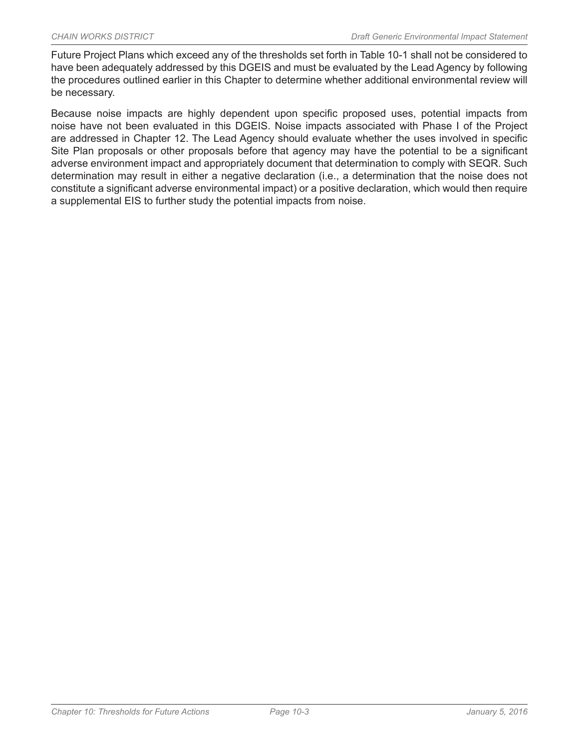Future Project Plans which exceed any of the thresholds set forth in Table 10-1 shall not be considered to have been adequately addressed by this DGEIS and must be evaluated by the Lead Agency by following the procedures outlined earlier in this Chapter to determine whether additional environmental review will be necessary.

Because noise impacts are highly dependent upon specific proposed uses, potential impacts from noise have not been evaluated in this DGEIS. Noise impacts associated with Phase I of the Project are addressed in Chapter 12. The Lead Agency should evaluate whether the uses involved in specific Site Plan proposals or other proposals before that agency may have the potential to be a significant adverse environment impact and appropriately document that determination to comply with SEQR. Such determination may result in either a negative declaration (i.e., a determination that the noise does not constitute a significant adverse environmental impact) or a positive declaration, which would then require a supplemental EIS to further study the potential impacts from noise.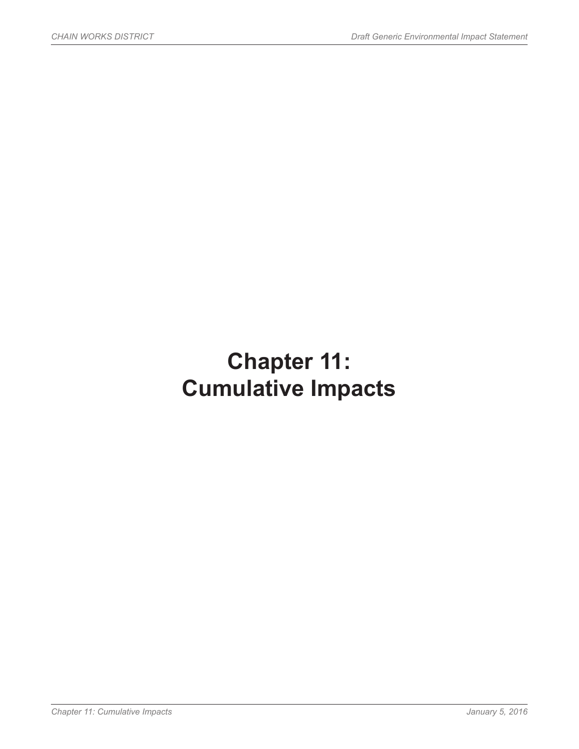# **Chapter 11: Cumulative Impacts**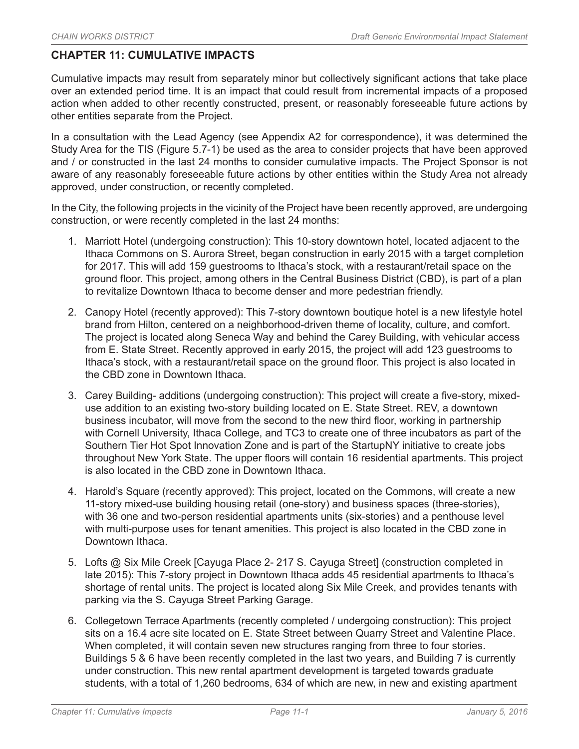## **CHAPTER 11: CUMULATIVE IMPACTS**

Cumulative impacts may result from separately minor but collectively significant actions that take place over an extended period time. It is an impact that could result from incremental impacts of a proposed action when added to other recently constructed, present, or reasonably foreseeable future actions by other entities separate from the Project.

In a consultation with the Lead Agency (see Appendix A2 for correspondence), it was determined the Study Area for the TIS (Figure 5.7-1) be used as the area to consider projects that have been approved and / or constructed in the last 24 months to consider cumulative impacts. The Project Sponsor is not aware of any reasonably foreseeable future actions by other entities within the Study Area not already approved, under construction, or recently completed.

In the City, the following projects in the vicinity of the Project have been recently approved, are undergoing construction, or were recently completed in the last 24 months:

- 1. Marriott Hotel (undergoing construction): This 10-story downtown hotel, located adjacent to the Ithaca Commons on S. Aurora Street, began construction in early 2015 with a target completion for 2017. This will add 159 guestrooms to Ithaca's stock, with a restaurant/retail space on the ground floor. This project, among others in the Central Business District (CBD), is part of a plan to revitalize Downtown Ithaca to become denser and more pedestrian friendly.
- 2. Canopy Hotel (recently approved): This 7-story downtown boutique hotel is a new lifestyle hotel brand from Hilton, centered on a neighborhood-driven theme of locality, culture, and comfort. The project is located along Seneca Way and behind the Carey Building, with vehicular access from E. State Street. Recently approved in early 2015, the project will add 123 guestrooms to Ithaca's stock, with a restaurant/retail space on the ground floor. This project is also located in the CBD zone in Downtown Ithaca.
- 3. Carey Building- additions (undergoing construction): This project will create a five-story, mixeduse addition to an existing two-story building located on E. State Street. REV, a downtown business incubator, will move from the second to the new third floor, working in partnership with Cornell University, Ithaca College, and TC3 to create one of three incubators as part of the Southern Tier Hot Spot Innovation Zone and is part of the StartupNY initiative to create jobs throughout New York State. The upper floors will contain 16 residential apartments. This project is also located in the CBD zone in Downtown Ithaca.
- 4. Harold's Square (recently approved): This project, located on the Commons, will create a new 11-story mixed-use building housing retail (one-story) and business spaces (three-stories), with 36 one and two-person residential apartments units (six-stories) and a penthouse level with multi-purpose uses for tenant amenities. This project is also located in the CBD zone in Downtown Ithaca.
- 5. Lofts @ Six Mile Creek [Cayuga Place 2- 217 S. Cayuga Street] (construction completed in late 2015): This 7-story project in Downtown Ithaca adds 45 residential apartments to Ithaca's shortage of rental units. The project is located along Six Mile Creek, and provides tenants with parking via the S. Cayuga Street Parking Garage.
- 6. Collegetown Terrace Apartments (recently completed / undergoing construction): This project sits on a 16.4 acre site located on E. State Street between Quarry Street and Valentine Place. When completed, it will contain seven new structures ranging from three to four stories. Buildings 5 & 6 have been recently completed in the last two years, and Building 7 is currently under construction. This new rental apartment development is targeted towards graduate students, with a total of 1,260 bedrooms, 634 of which are new, in new and existing apartment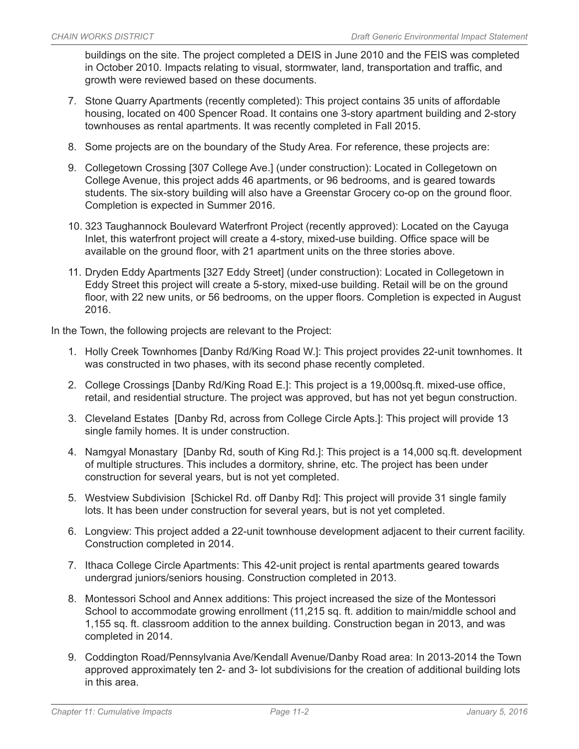buildings on the site. The project completed a DEIS in June 2010 and the FEIS was completed in October 2010. Impacts relating to visual, stormwater, land, transportation and traffic, and growth were reviewed based on these documents.

- 7. Stone Quarry Apartments (recently completed): This project contains 35 units of affordable housing, located on 400 Spencer Road. It contains one 3-story apartment building and 2-story townhouses as rental apartments. It was recently completed in Fall 2015.
- 8. Some projects are on the boundary of the Study Area. For reference, these projects are:
- 9. Collegetown Crossing [307 College Ave.] (under construction): Located in Collegetown on College Avenue, this project adds 46 apartments, or 96 bedrooms, and is geared towards students. The six-story building will also have a Greenstar Grocery co-op on the ground floor. Completion is expected in Summer 2016.
- 10. 323 Taughannock Boulevard Waterfront Project (recently approved): Located on the Cayuga Inlet, this waterfront project will create a 4-story, mixed-use building. Office space will be available on the ground floor, with 21 apartment units on the three stories above.
- 11. Dryden Eddy Apartments [327 Eddy Street] (under construction): Located in Collegetown in Eddy Street this project will create a 5-story, mixed-use building. Retail will be on the ground floor, with 22 new units, or 56 bedrooms, on the upper floors. Completion is expected in August 2016.

In the Town, the following projects are relevant to the Project:

- 1. Holly Creek Townhomes [Danby Rd/King Road W.]: This project provides 22-unit townhomes. It was constructed in two phases, with its second phase recently completed.
- 2. College Crossings [Danby Rd/King Road E.]: This project is a 19,000sq.ft. mixed-use office, retail, and residential structure. The project was approved, but has not yet begun construction.
- 3. Cleveland Estates [Danby Rd, across from College Circle Apts.]: This project will provide 13 single family homes. It is under construction.
- 4. Namgyal Monastary [Danby Rd, south of King Rd.]: This project is a 14,000 sq.ft. development of multiple structures. This includes a dormitory, shrine, etc. The project has been under construction for several years, but is not yet completed.
- 5. Westview Subdivision [Schickel Rd. off Danby Rd]: This project will provide 31 single family lots. It has been under construction for several years, but is not yet completed.
- 6. Longview: This project added a 22-unit townhouse development adjacent to their current facility. Construction completed in 2014.
- 7. Ithaca College Circle Apartments: This 42-unit project is rental apartments geared towards undergrad juniors/seniors housing. Construction completed in 2013.
- 8. Montessori School and Annex additions: This project increased the size of the Montessori School to accommodate growing enrollment (11,215 sq. ft. addition to main/middle school and 1,155 sq. ft. classroom addition to the annex building. Construction began in 2013, and was completed in 2014.
- 9. Coddington Road/Pennsylvania Ave/Kendall Avenue/Danby Road area: In 2013-2014 the Town approved approximately ten 2- and 3- lot subdivisions for the creation of additional building lots in this area.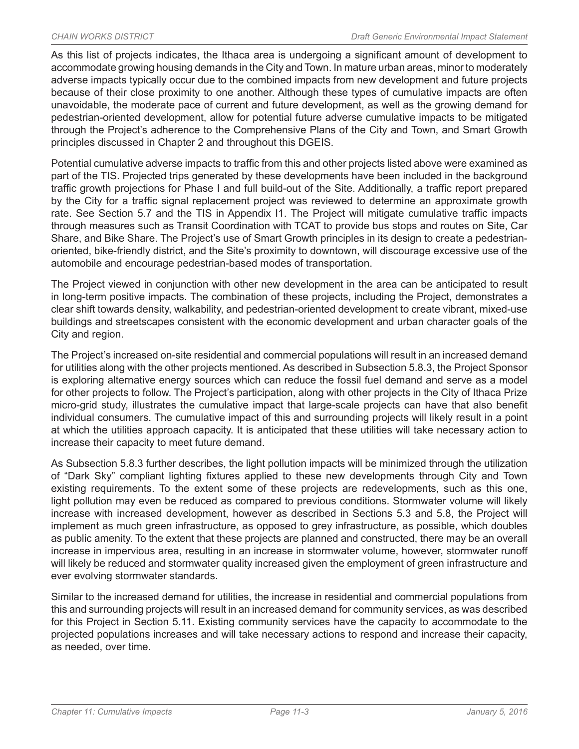As this list of projects indicates, the Ithaca area is undergoing a significant amount of development to accommodate growing housing demands in the City and Town. In mature urban areas, minor to moderately adverse impacts typically occur due to the combined impacts from new development and future projects because of their close proximity to one another. Although these types of cumulative impacts are often unavoidable, the moderate pace of current and future development, as well as the growing demand for pedestrian-oriented development, allow for potential future adverse cumulative impacts to be mitigated through the Project's adherence to the Comprehensive Plans of the City and Town, and Smart Growth principles discussed in Chapter 2 and throughout this DGEIS.

Potential cumulative adverse impacts to traffic from this and other projects listed above were examined as part of the TIS. Projected trips generated by these developments have been included in the background traffic growth projections for Phase I and full build-out of the Site. Additionally, a traffic report prepared by the City for a traffic signal replacement project was reviewed to determine an approximate growth rate. See Section 5.7 and the TIS in Appendix I1. The Project will mitigate cumulative traffic impacts through measures such as Transit Coordination with TCAT to provide bus stops and routes on Site, Car Share, and Bike Share. The Project's use of Smart Growth principles in its design to create a pedestrianoriented, bike-friendly district, and the Site's proximity to downtown, will discourage excessive use of the automobile and encourage pedestrian-based modes of transportation.

The Project viewed in conjunction with other new development in the area can be anticipated to result in long-term positive impacts. The combination of these projects, including the Project, demonstrates a clear shift towards density, walkability, and pedestrian-oriented development to create vibrant, mixed-use buildings and streetscapes consistent with the economic development and urban character goals of the City and region.

The Project's increased on-site residential and commercial populations will result in an increased demand for utilities along with the other projects mentioned. As described in Subsection 5.8.3, the Project Sponsor is exploring alternative energy sources which can reduce the fossil fuel demand and serve as a model for other projects to follow. The Project's participation, along with other projects in the City of Ithaca Prize micro-grid study, illustrates the cumulative impact that large-scale projects can have that also benefit individual consumers. The cumulative impact of this and surrounding projects will likely result in a point at which the utilities approach capacity. It is anticipated that these utilities will take necessary action to increase their capacity to meet future demand.

As Subsection 5.8.3 further describes, the light pollution impacts will be minimized through the utilization of "Dark Sky" compliant lighting fixtures applied to these new developments through City and Town existing requirements. To the extent some of these projects are redevelopments, such as this one, light pollution may even be reduced as compared to previous conditions. Stormwater volume will likely increase with increased development, however as described in Sections 5.3 and 5.8, the Project will implement as much green infrastructure, as opposed to grey infrastructure, as possible, which doubles as public amenity. To the extent that these projects are planned and constructed, there may be an overall increase in impervious area, resulting in an increase in stormwater volume, however, stormwater runoff will likely be reduced and stormwater quality increased given the employment of green infrastructure and ever evolving stormwater standards.

Similar to the increased demand for utilities, the increase in residential and commercial populations from this and surrounding projects will result in an increased demand for community services, as was described for this Project in Section 5.11. Existing community services have the capacity to accommodate to the projected populations increases and will take necessary actions to respond and increase their capacity, as needed, over time.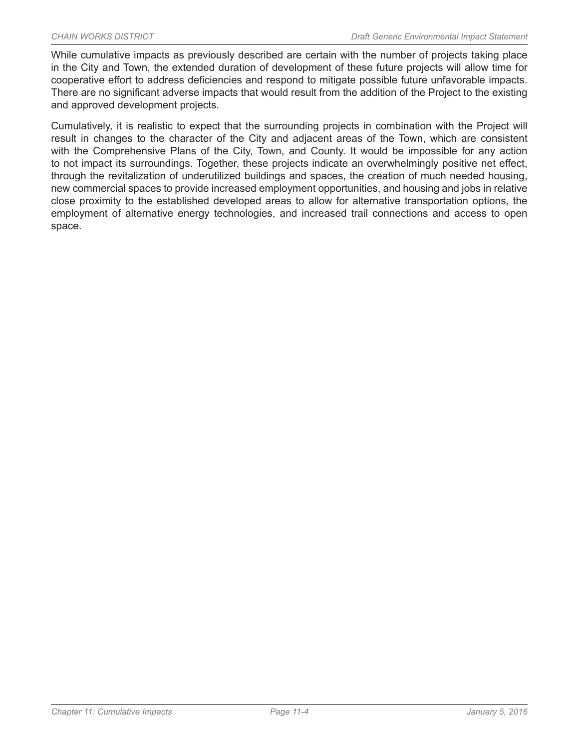While cumulative impacts as previously described are certain with the number of projects taking place in the City and Town, the extended duration of development of these future projects will allow time for cooperative effort to address deficiencies and respond to mitigate possible future unfavorable impacts. There are no significant adverse impacts that would result from the addition of the Project to the existing and approved development projects.

Cumulatively, it is realistic to expect that the surrounding projects in combination with the Project will result in changes to the character of the City and adjacent areas of the Town, which are consistent with the Comprehensive Plans of the City, Town, and County. It would be impossible for any action to not impact its surroundings. Together, these projects indicate an overwhelmingly positive net effect, through the revitalization of underutilized buildings and spaces, the creation of much needed housing, new commercial spaces to provide increased employment opportunities, and housing and jobs in relative close proximity to the established developed areas to allow for alternative transportation options, the employment of alternative energy technologies, and increased trail connections and access to open space.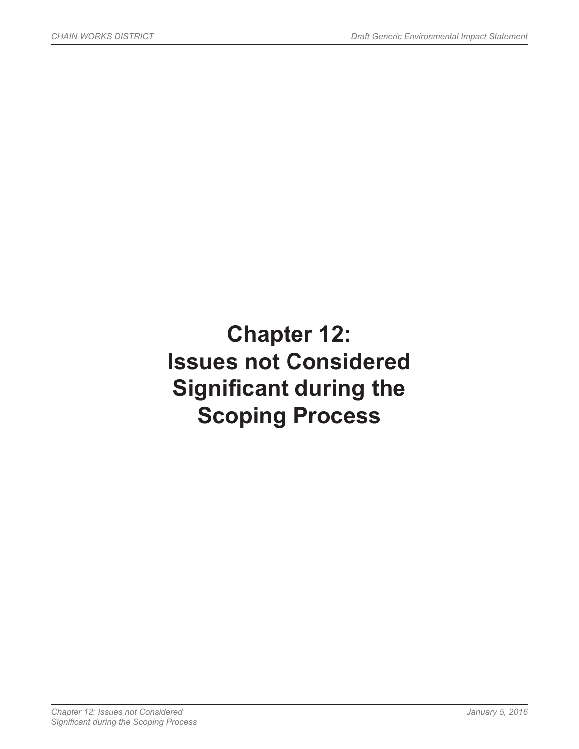# **Chapter 12: Issues not Considered Significant during the Scoping Process**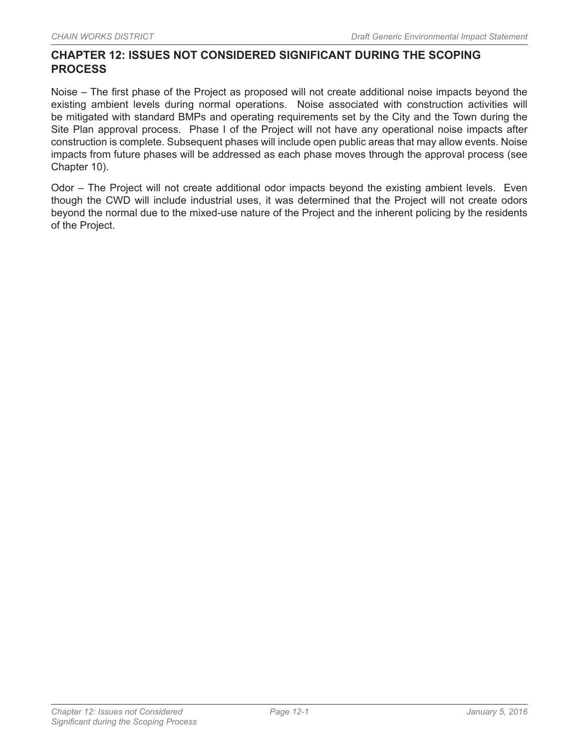## **CHAPTER 12: ISSUES NOT CONSIDERED SIGNIFICANT DURING THE SCOPING PROCESS**

Noise – The first phase of the Project as proposed will not create additional noise impacts beyond the existing ambient levels during normal operations. Noise associated with construction activities will be mitigated with standard BMPs and operating requirements set by the City and the Town during the Site Plan approval process. Phase I of the Project will not have any operational noise impacts after construction is complete. Subsequent phases will include open public areas that may allow events. Noise impacts from future phases will be addressed as each phase moves through the approval process (see Chapter 10).

Odor – The Project will not create additional odor impacts beyond the existing ambient levels. Even though the CWD will include industrial uses, it was determined that the Project will not create odors beyond the normal due to the mixed-use nature of the Project and the inherent policing by the residents of the Project.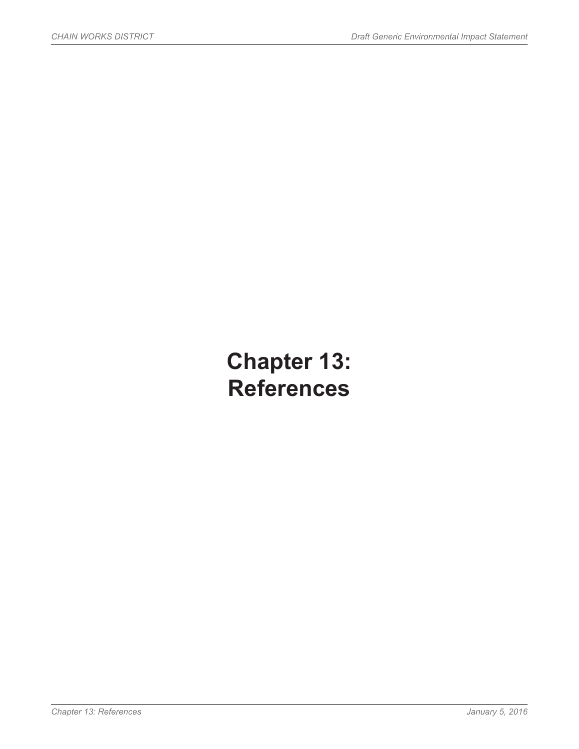# **Chapter 13: References**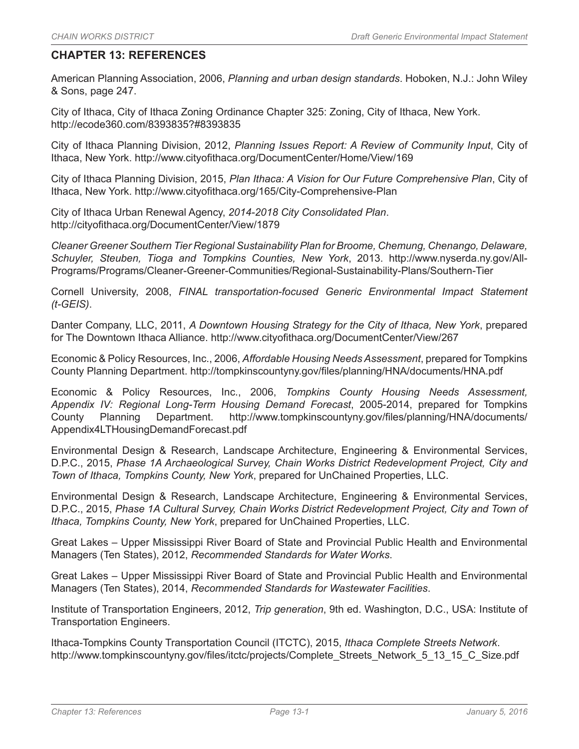### **CHAPTER 13: REFERENCES**

American Planning Association, 2006, *Planning and urban design standards*. Hoboken, N.J.: John Wiley & Sons, page 247.

City of Ithaca, City of Ithaca Zoning Ordinance Chapter 325: Zoning, City of Ithaca, New York. http://ecode360.com/8393835?#8393835

City of Ithaca Planning Division, 2012, *Planning Issues Report: A Review of Community Input*, City of Ithaca, New York. http://www.cityofithaca.org/DocumentCenter/Home/View/169

City of Ithaca Planning Division, 2015, *Plan Ithaca: A Vision for Our Future Comprehensive Plan*, City of Ithaca, New York. http://www.cityofithaca.org/165/City-Comprehensive-Plan

City of Ithaca Urban Renewal Agency, *2014-2018 City Consolidated Plan*. http://cityofithaca.org/DocumentCenter/View/1879

*Cleaner Greener Southern Tier Regional Sustainability Plan for Broome, Chemung, Chenango, Delaware, Schuyler, Steuben, Tioga and Tompkins Counties, New York*, 2013. http://www.nyserda.ny.gov/All-Programs/Programs/Cleaner-Greener-Communities/Regional-Sustainability-Plans/Southern-Tier

Cornell University, 2008, *FINAL transportation-focused Generic Environmental Impact Statement (t-GEIS)*.

Danter Company, LLC, 2011, *A Downtown Housing Strategy for the City of Ithaca, New York*, prepared for The Downtown Ithaca Alliance. http://www.cityofithaca.org/DocumentCenter/View/267

Economic & Policy Resources, Inc., 2006, *Affordable Housing Needs Assessment*, prepared for Tompkins County Planning Department. http://tompkinscountyny.gov/files/planning/HNA/documents/HNA.pdf

Economic & Policy Resources, Inc., 2006, *Tompkins County Housing Needs Assessment, Appendix IV: Regional Long-Term Housing Demand Forecast*, 2005-2014, prepared for Tompkins County Planning Department. http://www.tompkinscountyny.gov/files/planning/HNA/documents/ Appendix4LTHousingDemandForecast.pdf

Environmental Design & Research, Landscape Architecture, Engineering & Environmental Services, D.P.C., 2015, *Phase 1A Archaeological Survey, Chain Works District Redevelopment Project, City and Town of Ithaca, Tompkins County, New York*, prepared for UnChained Properties, LLC.

Environmental Design & Research, Landscape Architecture, Engineering & Environmental Services, D.P.C., 2015, *Phase 1A Cultural Survey, Chain Works District Redevelopment Project, City and Town of Ithaca, Tompkins County, New York*, prepared for UnChained Properties, LLC.

Great Lakes – Upper Mississippi River Board of State and Provincial Public Health and Environmental Managers (Ten States), 2012, *Recommended Standards for Water Works*.

Great Lakes – Upper Mississippi River Board of State and Provincial Public Health and Environmental Managers (Ten States), 2014, *Recommended Standards for Wastewater Facilities*.

Institute of Transportation Engineers, 2012, *Trip generation*, 9th ed. Washington, D.C., USA: Institute of Transportation Engineers.

Ithaca-Tompkins County Transportation Council (ITCTC), 2015, *Ithaca Complete Streets Network*. http://www.tompkinscountyny.gov/files/itctc/projects/Complete\_Streets\_Network\_5\_13\_15\_C\_Size.pdf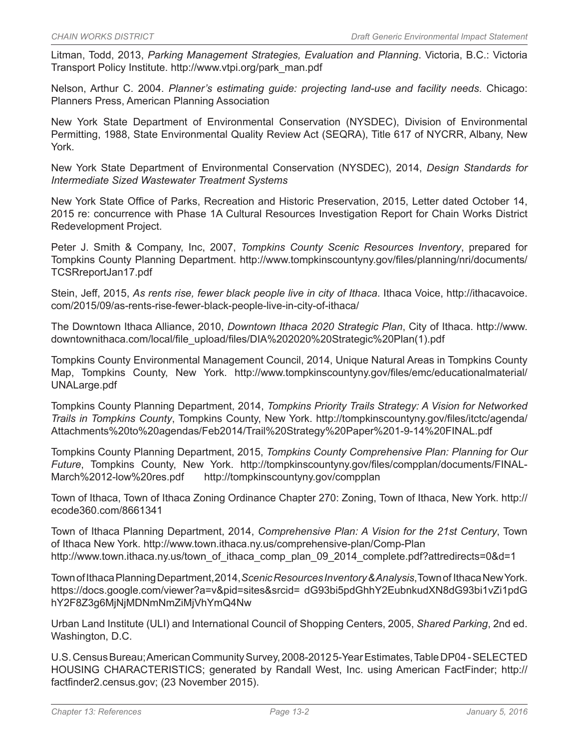Litman, Todd, 2013, *Parking Management Strategies, Evaluation and Planning*. Victoria, B.C.: Victoria Transport Policy Institute. http://www.vtpi.org/park\_man.pdf

Nelson, Arthur C. 2004. *Planner's estimating guide: projecting land-use and facility needs*. Chicago: Planners Press, American Planning Association

New York State Department of Environmental Conservation (NYSDEC), Division of Environmental Permitting, 1988, State Environmental Quality Review Act (SEQRA), Title 617 of NYCRR, Albany, New York.

New York State Department of Environmental Conservation (NYSDEC), 2014, *Design Standards for Intermediate Sized Wastewater Treatment Systems*

New York State Office of Parks, Recreation and Historic Preservation, 2015, Letter dated October 14, 2015 re: concurrence with Phase 1A Cultural Resources Investigation Report for Chain Works District Redevelopment Project.

Peter J. Smith & Company, Inc, 2007, *Tompkins County Scenic Resources Inventory*, prepared for Tompkins County Planning Department. http://www.tompkinscountyny.gov/files/planning/nri/documents/ TCSRreportJan17.pdf

Stein, Jeff, 2015, *As rents rise, fewer black people live in city of Ithaca*. Ithaca Voice, http://ithacavoice. com/2015/09/as-rents-rise-fewer-black-people-live-in-city-of-ithaca/

The Downtown Ithaca Alliance, 2010, *Downtown Ithaca 2020 Strategic Plan*, City of Ithaca. http://www. downtownithaca.com/local/file\_upload/files/DIA%202020%20Strategic%20Plan(1).pdf

Tompkins County Environmental Management Council, 2014, Unique Natural Areas in Tompkins County Map, Tompkins County, New York. http://www.tompkinscountyny.gov/files/emc/educationalmaterial/ UNALarge.pdf

Tompkins County Planning Department, 2014, *Tompkins Priority Trails Strategy: A Vision for Networked Trails in Tompkins County*, Tompkins County, New York. http://tompkinscountyny.gov/files/itctc/agenda/ Attachments%20to%20agendas/Feb2014/Trail%20Strategy%20Paper%201-9-14%20FINAL.pdf

Tompkins County Planning Department, 2015, *Tompkins County Comprehensive Plan: Planning for Our Future*, Tompkins County, New York. http://tompkinscountyny.gov/files/compplan/documents/FINAL-March%2012-low%20res.pdf http://tompkinscountyny.gov/compplan

Town of Ithaca, Town of Ithaca Zoning Ordinance Chapter 270: Zoning, Town of Ithaca, New York. http:// ecode360.com/8661341

Town of Ithaca Planning Department, 2014, *Comprehensive Plan: A Vision for the 21st Century*, Town of Ithaca New York. http://www.town.ithaca.ny.us/comprehensive-plan/Comp-Plan http://www.town.ithaca.ny.us/town\_of\_ithaca\_comp\_plan\_09\_2014\_complete.pdf?attredirects=0&d=1

Town of Ithaca Planning Department, 2014, *Scenic Resources Inventory & Analysis*, Town of Ithaca New York. https://docs.google.com/viewer?a=v&pid=sites&srcid= dG93bi5pdGhhY2EubnkudXN8dG93bi1vZi1pdG hY2F8Z3g6MjNjMDNmNmZiMjVhYmQ4Nw

Urban Land Institute (ULI) and International Council of Shopping Centers, 2005, *Shared Parking*, 2nd ed. Washington, D.C.

U.S. Census Bureau; American Community Survey, 2008-2012 5-Year Estimates, Table DP04 - SELECTED HOUSING CHARACTERISTICS; generated by Randall West, Inc. using American FactFinder; http:// factfinder2.census.gov; (23 November 2015).